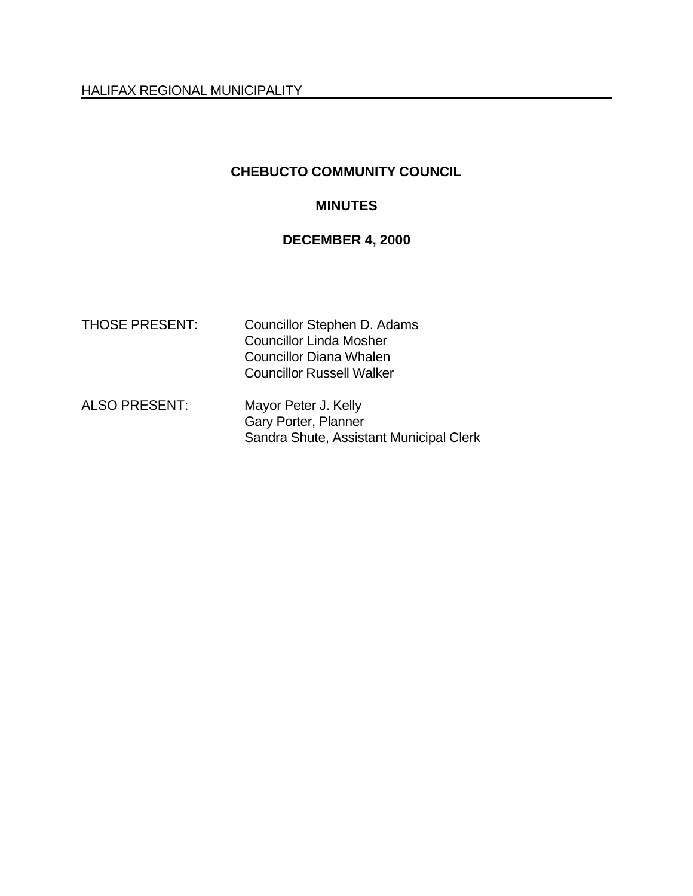HALIFAX REGIONAL MUNICIPALITY

# **CHEBUCTO COMMUNITY COUNCIL**

# **MINUTES**

# **DECEMBER 4, 2000**

| <b>THOSE PRESENT:</b> | Councillor Stephen D. Adams<br><b>Councillor Linda Mosher</b><br>Councillor Diana Whalen<br><b>Councillor Russell Walker</b> |
|-----------------------|------------------------------------------------------------------------------------------------------------------------------|
| <b>ALSO PRESENT:</b>  | Mayor Peter J. Kelly<br>Gary Porter, Planner<br>Sandra Shute, Assistant Municipal Clerk                                      |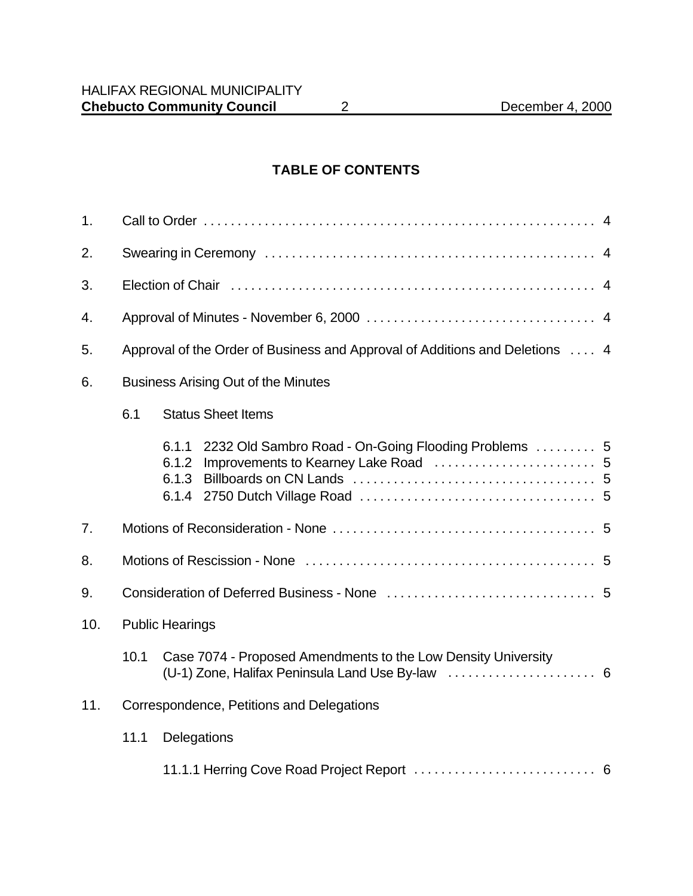# **TABLE OF CONTENTS**

| 1.                                               |                                                                              |                                                                                 |  |  |
|--------------------------------------------------|------------------------------------------------------------------------------|---------------------------------------------------------------------------------|--|--|
| 2.                                               |                                                                              |                                                                                 |  |  |
| 3.                                               |                                                                              |                                                                                 |  |  |
| 4.                                               |                                                                              |                                                                                 |  |  |
| 5.                                               | Approval of the Order of Business and Approval of Additions and Deletions  4 |                                                                                 |  |  |
| 6.                                               |                                                                              | <b>Business Arising Out of the Minutes</b>                                      |  |  |
|                                                  | 6.1                                                                          | <b>Status Sheet Items</b>                                                       |  |  |
|                                                  |                                                                              | 2232 Old Sambro Road - On-Going Flooding Problems  5<br>6.1.1<br>6.1.2<br>6.1.3 |  |  |
| 7.                                               |                                                                              |                                                                                 |  |  |
| 8.                                               |                                                                              |                                                                                 |  |  |
| 9.                                               |                                                                              |                                                                                 |  |  |
| 10.                                              |                                                                              | <b>Public Hearings</b>                                                          |  |  |
|                                                  | 10.1                                                                         | Case 7074 - Proposed Amendments to the Low Density University                   |  |  |
| 11.<br>Correspondence, Petitions and Delegations |                                                                              |                                                                                 |  |  |
|                                                  | 11.1<br>Delegations                                                          |                                                                                 |  |  |
|                                                  |                                                                              |                                                                                 |  |  |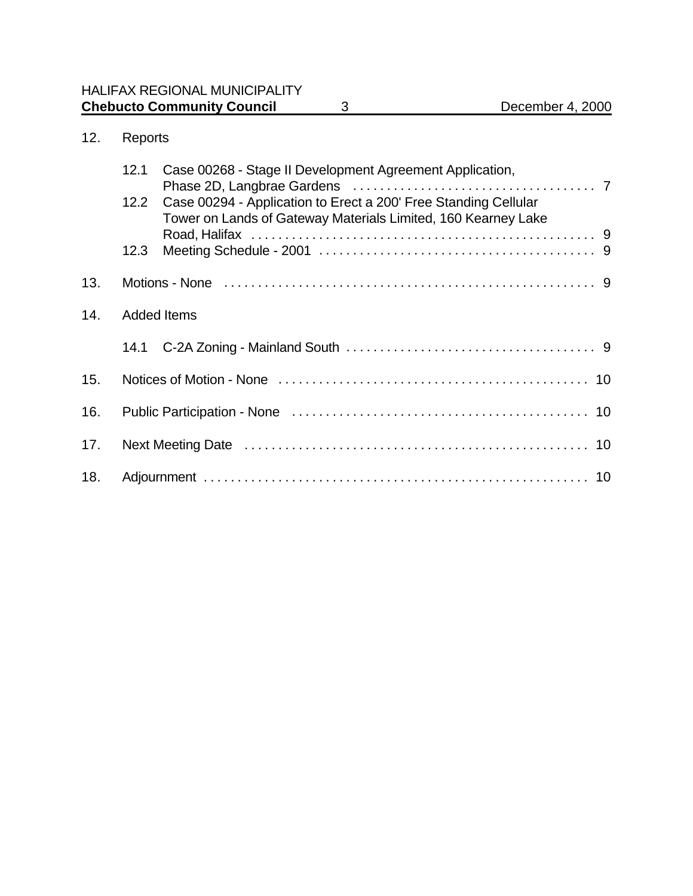# 12. Reports

|     | 12.1               | Case 00268 - Stage II Development Agreement Application,                                                                         |  |
|-----|--------------------|----------------------------------------------------------------------------------------------------------------------------------|--|
|     | 12.2               | Case 00294 - Application to Erect a 200' Free Standing Cellular<br>Tower on Lands of Gateway Materials Limited, 160 Kearney Lake |  |
|     | 12.3               |                                                                                                                                  |  |
| 13. |                    |                                                                                                                                  |  |
| 14. | <b>Added Items</b> |                                                                                                                                  |  |
|     |                    |                                                                                                                                  |  |
| 15. |                    |                                                                                                                                  |  |
| 16. |                    |                                                                                                                                  |  |
| 17. |                    |                                                                                                                                  |  |
| 18. |                    |                                                                                                                                  |  |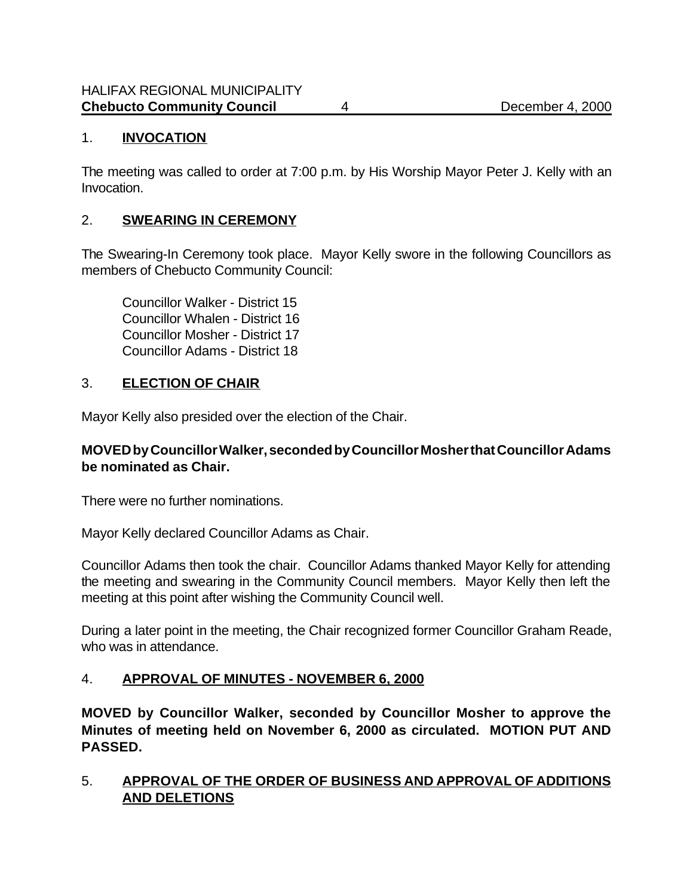### 1. **INVOCATION**

The meeting was called to order at 7:00 p.m. by His Worship Mayor Peter J. Kelly with an Invocation.

### 2. **SWEARING IN CEREMONY**

The Swearing-In Ceremony took place. Mayor Kelly swore in the following Councillors as members of Chebucto Community Council:

Councillor Walker - District 15 Councillor Whalen - District 16 Councillor Mosher - District 17 Councillor Adams - District 18

### 3. **ELECTION OF CHAIR**

Mayor Kelly also presided over the election of the Chair.

### **MOVED by Councillor Walker, seconded by Councillor Mosher that Councillor Adams be nominated as Chair.**

There were no further nominations.

Mayor Kelly declared Councillor Adams as Chair.

Councillor Adams then took the chair. Councillor Adams thanked Mayor Kelly for attending the meeting and swearing in the Community Council members. Mayor Kelly then left the meeting at this point after wishing the Community Council well.

During a later point in the meeting, the Chair recognized former Councillor Graham Reade, who was in attendance.

# 4. **APPROVAL OF MINUTES - NOVEMBER 6, 2000**

**MOVED by Councillor Walker, seconded by Councillor Mosher to approve the Minutes of meeting held on November 6, 2000 as circulated. MOTION PUT AND PASSED.**

### 5. **APPROVAL OF THE ORDER OF BUSINESS AND APPROVAL OF ADDITIONS AND DELETIONS**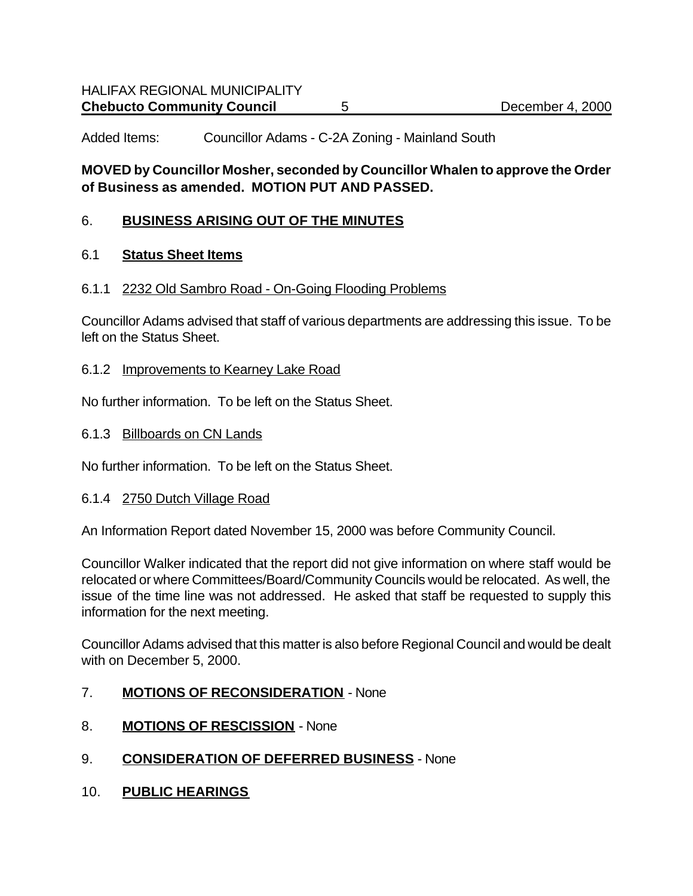Added Items: Councillor Adams - C-2A Zoning - Mainland South

### **MOVED by Councillor Mosher, seconded by Councillor Whalen to approve the Order of Business as amended. MOTION PUT AND PASSED.**

#### 6. **BUSINESS ARISING OUT OF THE MINUTES**

#### 6.1 **Status Sheet Items**

#### 6.1.1 2232 Old Sambro Road - On-Going Flooding Problems

Councillor Adams advised that staff of various departments are addressing this issue. To be left on the Status Sheet.

#### 6.1.2 Improvements to Kearney Lake Road

No further information. To be left on the Status Sheet.

#### 6.1.3 Billboards on CN Lands

No further information. To be left on the Status Sheet.

#### 6.1.4 2750 Dutch Village Road

An Information Report dated November 15, 2000 was before Community Council.

Councillor Walker indicated that the report did not give information on where staff would be relocated or where Committees/Board/Community Councils would be relocated. As well, the issue of the time line was not addressed. He asked that staff be requested to supply this information for the next meeting.

Councillor Adams advised that this matter is also before Regional Council and would be dealt with on December 5, 2000.

- 7. **MOTIONS OF RECONSIDERATION** None
- 8. **MOTIONS OF RESCISSION** None
- 9. **CONSIDERATION OF DEFERRED BUSINESS** None
- 10. **PUBLIC HEARINGS**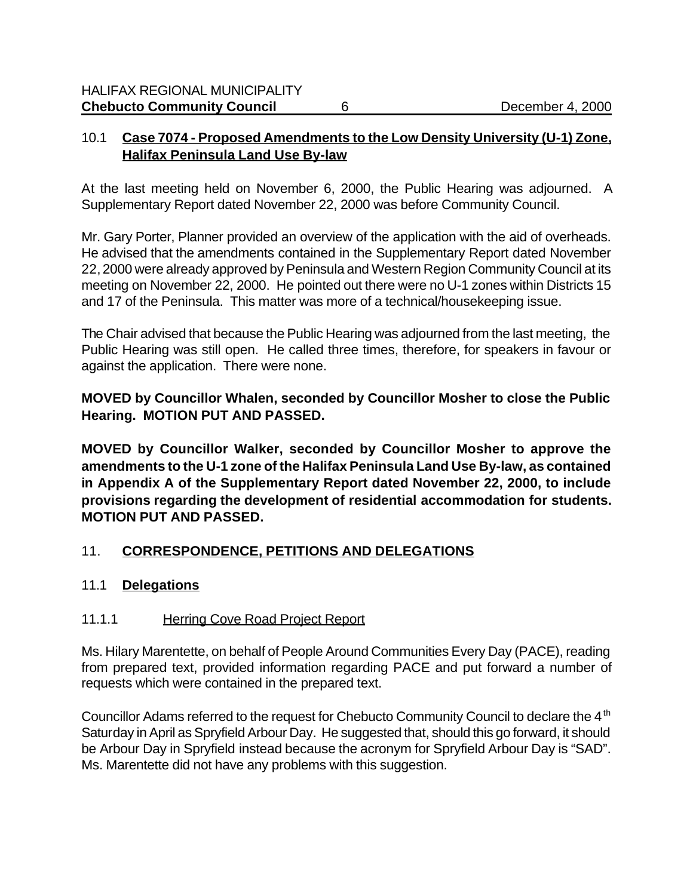### 10.1 **Case 7074 - Proposed Amendments to the Low Density University (U-1) Zone, Halifax Peninsula Land Use By-law**

At the last meeting held on November 6, 2000, the Public Hearing was adjourned. A Supplementary Report dated November 22, 2000 was before Community Council.

Mr. Gary Porter, Planner provided an overview of the application with the aid of overheads. He advised that the amendments contained in the Supplementary Report dated November 22, 2000 were already approved by Peninsula and Western Region Community Council at its meeting on November 22, 2000. He pointed out there were no U-1 zones within Districts 15 and 17 of the Peninsula. This matter was more of a technical/housekeeping issue.

The Chair advised that because the Public Hearing was adjourned from the last meeting, the Public Hearing was still open. He called three times, therefore, for speakers in favour or against the application. There were none.

**MOVED by Councillor Whalen, seconded by Councillor Mosher to close the Public Hearing. MOTION PUT AND PASSED.**

**MOVED by Councillor Walker, seconded by Councillor Mosher to approve the amendments to the U-1 zone of the Halifax Peninsula Land Use By-law, as contained in Appendix A of the Supplementary Report dated November 22, 2000, to include provisions regarding the development of residential accommodation for students. MOTION PUT AND PASSED.**

# 11. **CORRESPONDENCE, PETITIONS AND DELEGATIONS**

# 11.1 **Delegations**

# 11.1.1 Herring Cove Road Project Report

Ms. Hilary Marentette, on behalf of People Around Communities Every Day (PACE), reading from prepared text, provided information regarding PACE and put forward a number of requests which were contained in the prepared text.

Councillor Adams referred to the request for Chebucto Community Council to declare the 4<sup>th</sup> Saturday in April as Spryfield Arbour Day. He suggested that, should this go forward, it should be Arbour Day in Spryfield instead because the acronym for Spryfield Arbour Day is "SAD". Ms. Marentette did not have any problems with this suggestion.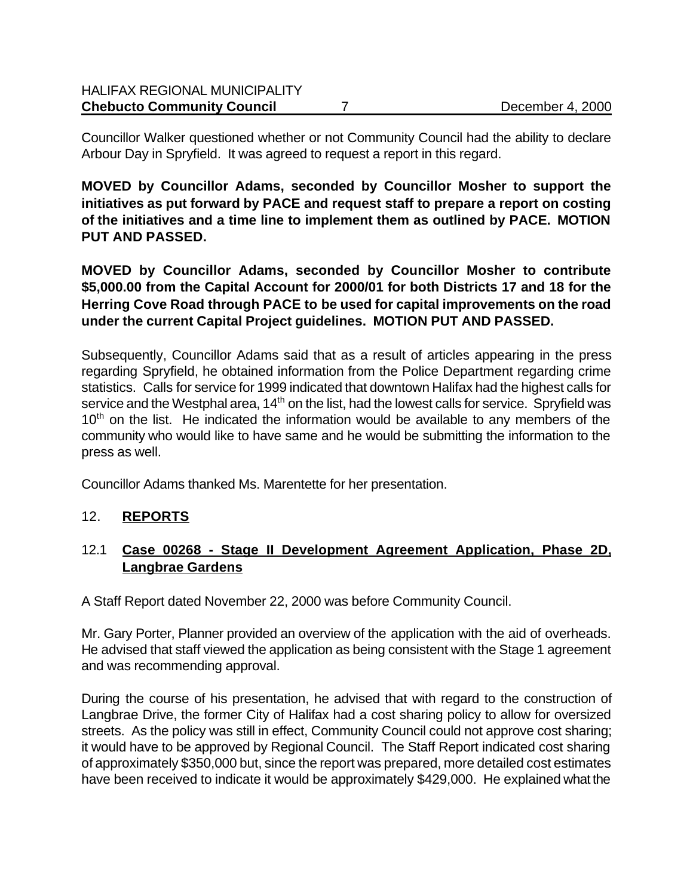Councillor Walker questioned whether or not Community Council had the ability to declare Arbour Day in Spryfield. It was agreed to request a report in this regard.

**MOVED by Councillor Adams, seconded by Councillor Mosher to support the initiatives as put forward by PACE and request staff to prepare a report on costing of the initiatives and a time line to implement them as outlined by PACE. MOTION PUT AND PASSED.**

**MOVED by Councillor Adams, seconded by Councillor Mosher to contribute \$5,000.00 from the Capital Account for 2000/01 for both Districts 17 and 18 for the Herring Cove Road through PACE to be used for capital improvements on the road under the current Capital Project guidelines. MOTION PUT AND PASSED.**

Subsequently, Councillor Adams said that as a result of articles appearing in the press regarding Spryfield, he obtained information from the Police Department regarding crime statistics. Calls for service for 1999 indicated that downtown Halifax had the highest calls for service and the Westphal area,  $14<sup>th</sup>$  on the list, had the lowest calls for service. Spryfield was  $10<sup>th</sup>$  on the list. He indicated the information would be available to any members of the community who would like to have same and he would be submitting the information to the press as well.

Councillor Adams thanked Ms. Marentette for her presentation.

# 12. **REPORTS**

# 12.1 **Case 00268 - Stage II Development Agreement Application, Phase 2D, Langbrae Gardens**

A Staff Report dated November 22, 2000 was before Community Council.

Mr. Gary Porter, Planner provided an overview of the application with the aid of overheads. He advised that staff viewed the application as being consistent with the Stage 1 agreement and was recommending approval.

During the course of his presentation, he advised that with regard to the construction of Langbrae Drive, the former City of Halifax had a cost sharing policy to allow for oversized streets. As the policy was still in effect, Community Council could not approve cost sharing; it would have to be approved by Regional Council. The Staff Report indicated cost sharing of approximately \$350,000 but, since the report was prepared, more detailed cost estimates have been received to indicate it would be approximately \$429,000. He explained what the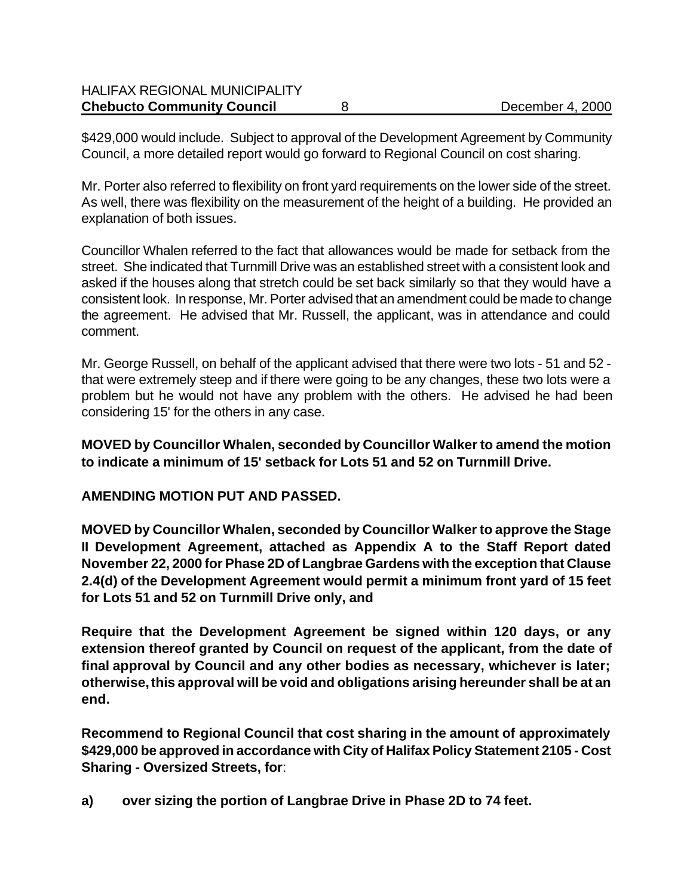\$429,000 would include. Subject to approval of the Development Agreement by Community Council, a more detailed report would go forward to Regional Council on cost sharing.

Mr. Porter also referred to flexibility on front yard requirements on the lower side of the street. As well, there was flexibility on the measurement of the height of a building. He provided an explanation of both issues.

Councillor Whalen referred to the fact that allowances would be made for setback from the street. She indicated that Turnmill Drive was an established street with a consistent look and asked if the houses along that stretch could be set back similarly so that they would have a consistent look. In response, Mr. Porter advised that an amendment could be made to change the agreement. He advised that Mr. Russell, the applicant, was in attendance and could comment.

Mr. George Russell, on behalf of the applicant advised that there were two lots - 51 and 52 that were extremely steep and if there were going to be any changes, these two lots were a problem but he would not have any problem with the others. He advised he had been considering 15' for the others in any case.

**MOVED by Councillor Whalen, seconded by Councillor Walker to amend the motion to indicate a minimum of 15' setback for Lots 51 and 52 on Turnmill Drive.**

# **AMENDING MOTION PUT AND PASSED.**

**MOVED by Councillor Whalen, seconded by Councillor Walker to approve the Stage II Development Agreement, attached as Appendix A to the Staff Report dated November 22, 2000 for Phase 2D of Langbrae Gardens with the exception that Clause 2.4(d) of the Development Agreement would permit a minimum front yard of 15 feet for Lots 51 and 52 on Turnmill Drive only, and**

**Require that the Development Agreement be signed within 120 days, or any extension thereof granted by Council on request of the applicant, from the date of final approval by Council and any other bodies as necessary, whichever is later; otherwise, this approval will be void and obligations arising hereunder shall be at an end.**

**Recommend to Regional Council that cost sharing in the amount of approximately \$429,000 be approved in accordance with City of Halifax Policy Statement 2105 - Cost Sharing - Oversized Streets, for**:

**a) over sizing the portion of Langbrae Drive in Phase 2D to 74 feet.**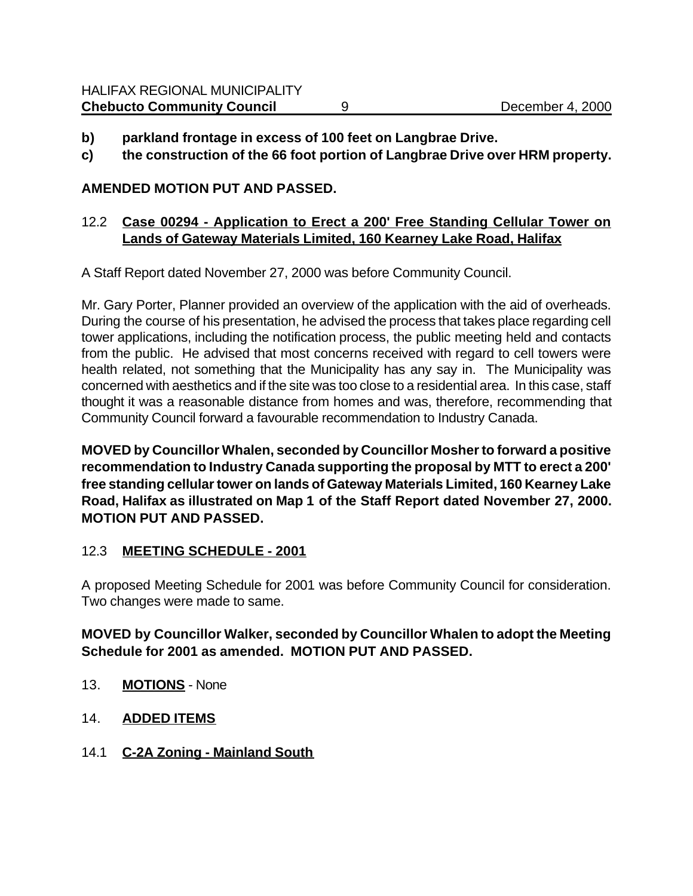- **b) parkland frontage in excess of 100 feet on Langbrae Drive.**
- **c) the construction of the 66 foot portion of Langbrae Drive over HRM property.**

### **AMENDED MOTION PUT AND PASSED.**

### 12.2 **Case 00294 - Application to Erect a 200' Free Standing Cellular Tower on Lands of Gateway Materials Limited, 160 Kearney Lake Road, Halifax**

A Staff Report dated November 27, 2000 was before Community Council.

Mr. Gary Porter, Planner provided an overview of the application with the aid of overheads. During the course of his presentation, he advised the process that takes place regarding cell tower applications, including the notification process, the public meeting held and contacts from the public. He advised that most concerns received with regard to cell towers were health related, not something that the Municipality has any say in. The Municipality was concerned with aesthetics and if the site was too close to a residential area. In this case, staff thought it was a reasonable distance from homes and was, therefore, recommending that Community Council forward a favourable recommendation to Industry Canada.

**MOVED by Councillor Whalen, seconded by Councillor Mosher to forward a positive recommendation to Industry Canada supporting the proposal by MTT to erect a 200' free standing cellular tower on lands of Gateway Materials Limited, 160 Kearney Lake Road, Halifax as illustrated on Map 1 of the Staff Report dated November 27, 2000. MOTION PUT AND PASSED.**

# 12.3 **MEETING SCHEDULE - 2001**

A proposed Meeting Schedule for 2001 was before Community Council for consideration. Two changes were made to same.

# **MOVED by Councillor Walker, seconded by Councillor Whalen to adopt the Meeting Schedule for 2001 as amended. MOTION PUT AND PASSED.**

- 13. **MOTIONS** None
- 14. **ADDED ITEMS**
- 14.1 **C-2A Zoning Mainland South**